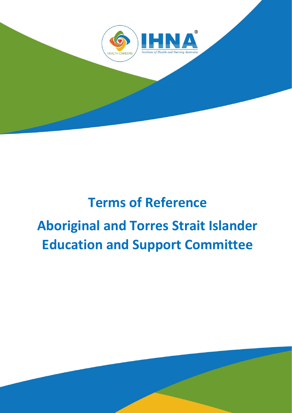

# **Terms of Reference Aboriginal and Torres Strait Islander Education and Support Committee**

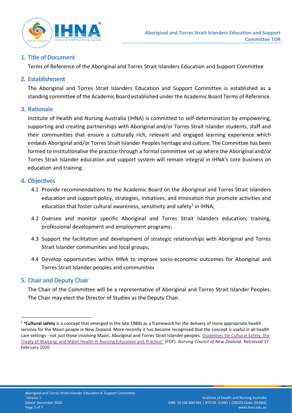

# **1. Title of Document**

Terms of Reference of the Aboriginal and Torres Strait Islanders Education and Support Committee

# **2. Establishment**

The Aboriginal and Torres Strait Islanders Education and Support Committee is established as a standing committee of the Academic Board established under the Academic Board Terms of Reference.

# **3. Rationale**

Institute of Health and Nursing Australia (IHNA) is committed to self-determination by empowering, supporting and creating partnerships with Aboriginal and/or Torres Strait Islander students, staff and their communities that ensure a culturally rich, relevant and engaged learning experience which embeds Aboriginal and/or Torres Strait Islander Peoples heritage and culture. The Committee has been formed to institutionalise the practice through a formal committee set up where the Aboriginal and/or Torres Strait Islander education and support system will remain integral in IHNA's core business on education and training.

# **4. Objectives**

- 4.1 Provide recommendations to the Academic Board on the Aboriginal and Torres Strait Islanders education and support policy, strategies, initiatives, and innovation that promote activities and education that foster cultural awareness, sensitivity and safety<sup>1</sup> in IHNA;
- 4.2 Oversee and monitor specific Aboriginal and Torres Strait Islanders education, training, professional development and employment programs;
- 4.3 Support the facilitation and development of strategic relationships with Aboriginal and Torres Strait Islander communities and local groups;
- 4.4 Develop opportunities within IHNA to improve socio-economic outcomes for Aboriginal and Torres Strait Islander peoples and communities

## **5. Chair and Deputy Chair**

The Chair of the Committee will be a representative of Aboriginal and Torres Strait Islander Peoples. The Chair may elect the Director of Studies as the Deputy Chair.

<sup>1</sup> **\*Cultural safety** is a concept that emerged in the late 1980s as a framework for the delivery of more appropriate health services for the Maori people in New Zealand. More recently it has become recognised that the concept is useful in all health care settings - not just those involving Maori, Aboriginal and Torres Strait Islander peoples. [Guidelines for Cultural Safety, the](http://pro.healthmentoronline.com/assets/Uploads/refract/pdf/Nursing_Council_cultural-safety11.pdf)  [Treaty of Waitangi and Māori Health](http://pro.healthmentoronline.com/assets/Uploads/refract/pdf/Nursing_Council_cultural-safety11.pdf) in Nursing Education and Practice" (PDF). *Nursing Council of New Zealand*. Retrieved 17 February 2020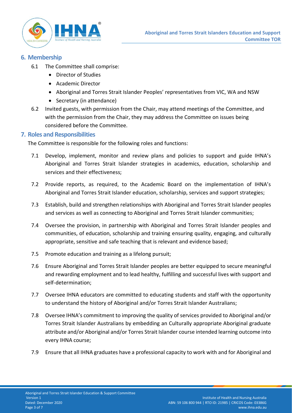

# **6. Membership**

- 6.1 The Committee shall comprise:
	- Director of Studies
	- Academic Director
	- Aboriginal and Torres Strait Islander Peoples' representatives from VIC, WA and NSW
	- Secretary (in attendance)
- 6.2 Invited guests, with permission from the Chair, may attend meetings of the Committee, and with the permission from the Chair, they may address the Committee on issues being considered before the Committee.

# **7. Roles and Responsibilities**

The Committee is responsible for the following roles and functions:

- 7.1 Develop, implement, monitor and review plans and policies to support and guide IHNA's Aboriginal and Torres Strait Islander strategies in academics, education, scholarship and services and their effectiveness;
- 7.2 Provide reports, as required, to the Academic Board on the implementation of IHNA's Aboriginal and Torres Strait Islander education, scholarship, services and support strategies;
- 7.3 Establish, build and strengthen relationships with Aboriginal and Torres Strait Islander peoples and services as well as connecting to Aboriginal and Torres Strait Islander communities;
- 7.4 Oversee the provision, in partnership with Aboriginal and Torres Strait Islander peoples and communities, of education, scholarship and training ensuring quality, engaging, and culturally appropriate, sensitive and safe teaching that is relevant and evidence based;
- 7.5 Promote education and training as a lifelong pursuit;
- 7.6 Ensure Aboriginal and Torres Strait Islander peoples are better equipped to secure meaningful and rewarding employment and to lead healthy, fulfilling and successful lives with support and self-determination;
- 7.7 Oversee IHNA educators are committed to educating students and staff with the opportunity to understand the history of Aboriginal and/or Torres Strait Islander Australians;
- 7.8 Oversee IHNA's commitment to improving the quality of services provided to Aboriginal and/or Torres Strait Islander Australians by embedding an Culturally appropriate Aboriginal graduate attribute and/or Aboriginal and/or Torres Strait Islander course intended learning outcome into every IHNA course;
- 7.9 Ensure that all IHNA graduates have a professional capacity to work with and for Aboriginal and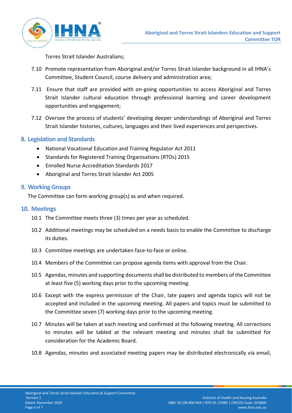

Torres Strait Islander Australians;

- 7.10 Promote representation from Aboriginal and/or Torres Strait Islander background in all IHNA's Committee, Student Council, course delivery and administration area;
- 7.11 Ensure that staff are provided with on-going opportunities to access Aboriginal and Torres Strait Islander cultural education through professional learning and career development opportunities and engagement;
- 7.12 Oversee the process of students' developing deeper understandings of Aboriginal and Torres Strait Islander histories, cultures, languages and their lived experiences and perspectives.

# **8. Legislation and Standards**

- National Vocational Education and Training Regulator Act 2011
- Standards for Registered Training Organisations (RTOs) 2015
- Enrolled Nurse Accreditation Standards 2017
- Aboriginal and Torres Strait Islander Act 2005

#### **9. Working Groups**

The Committee can form working group(s) as and when required.

#### **10. Meetings**

- 10.1 The Committee meets three (3) times per year as scheduled.
- 10.2 Additional meetings may be scheduled on a needs basis to enable the Committee to discharge its duties.
- 10.3 Committee meetings are undertaken face-to-face or online.
- 10.4 Members of the Committee can propose agenda items with approval from the Chair.
- 10.5 Agendas, minutes and supporting documents shall be distributed to members of the Committee at least five (5) working days prior to the upcoming meeting.
- 10.6 Except with the express permission of the Chair, late papers and agenda topics will not be accepted and included in the upcoming meeting. All papers and topics must be submitted to the Committee seven (7) working days prior to the upcoming meeting.
- 10.7 Minutes will be taken at each meeting and confirmed at the following meeting. All corrections to minutes will be tabled at the relevant meeting and minutes shall be submitted for consideration for the Academic Board.
- 10.8 Agendas, minutes and associated meeting papers may be distributed electronically via email,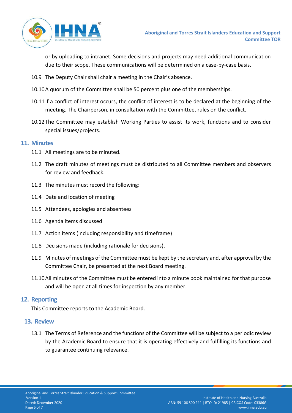

or by uploading to intranet. Some decisions and projects may need additional communication due to their scope. These communications will be determined on a case-by-case basis.

- 10.9 The Deputy Chair shall chair a meeting in the Chair's absence.
- 10.10A quorum of the Committee shall be 50 percent plus one of the memberships.
- 10.11If a conflict of interest occurs, the conflict of interest is to be declared at the beginning of the meeting. The Chairperson, in consultation with the Committee, rules on the conflict.
- 10.12The Committee may establish Working Parties to assist its work, functions and to consider special issues/projects.

#### **11. Minutes**

- 11.1 All meetings are to be minuted.
- 11.2 The draft minutes of meetings must be distributed to all Committee members and observers for review and feedback.
- 11.3 The minutes must record the following:
- 11.4 Date and location of meeting
- 11.5 Attendees, apologies and absentees
- 11.6 Agenda items discussed
- 11.7 Action items (including responsibility and timeframe)
- 11.8 Decisions made (including rationale for decisions).
- 11.9 Minutes of meetings of the Committee must be kept by the secretary and, after approval by the Committee Chair, be presented at the next Board meeting.
- 11.10All minutes of the Committee must be entered into a minute book maintained for that purpose and will be open at all times for inspection by any member.

## **12. Reporting**

This Committee reports to the Academic Board.

## **13. Review**

13.1 The Terms of Reference and the functions of the Committee will be subject to a periodic review by the Academic Board to ensure that it is operating effectively and fulfilling its functions and to guarantee continuing relevance.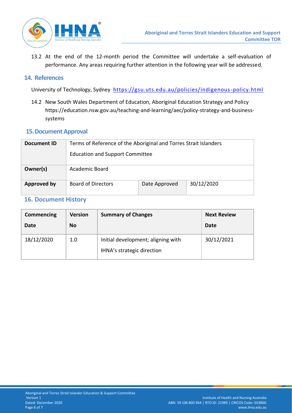

13.2 At the end of the 12-month period the Committee will undertake a self-evaluation of performance. Any areas requiring further attention in the following year will be addressed.

#### **14. References**

University of Technology, Sydney <https://gsu.uts.edu.au/policies/indigenous-policy.html>

14.2 New South Wales Department of Education, Aboriginal Education Strategy and Policy [https://education.nsw.gov.au/teaching-and-learning/aec/policy-strategy-and-business](https://education.nsw.gov.au/teaching-and-learning/aec/policy-strategy-and-business-systems)[systems](https://education.nsw.gov.au/teaching-and-learning/aec/policy-strategy-and-business-systems)

## **15.Document Approval**

| Document ID | Terms of Reference of the Aboriginal and Torres Strait Islanders<br><b>Education and Support Committee</b> |               |            |  |
|-------------|------------------------------------------------------------------------------------------------------------|---------------|------------|--|
| Owner(s)    | Academic Board                                                                                             |               |            |  |
| Approved by | <b>Board of Directors</b>                                                                                  | Date Approved | 30/12/2020 |  |

# **16. Document History**

| Commencing | <b>Version</b> | <b>Summary of Changes</b>                                        | <b>Next Review</b> |
|------------|----------------|------------------------------------------------------------------|--------------------|
| Date       | <b>No</b>      |                                                                  | Date               |
| 18/12/2020 | 1.0            | Initial development; aligning with<br>IHNA's strategic direction | 30/12/2021         |